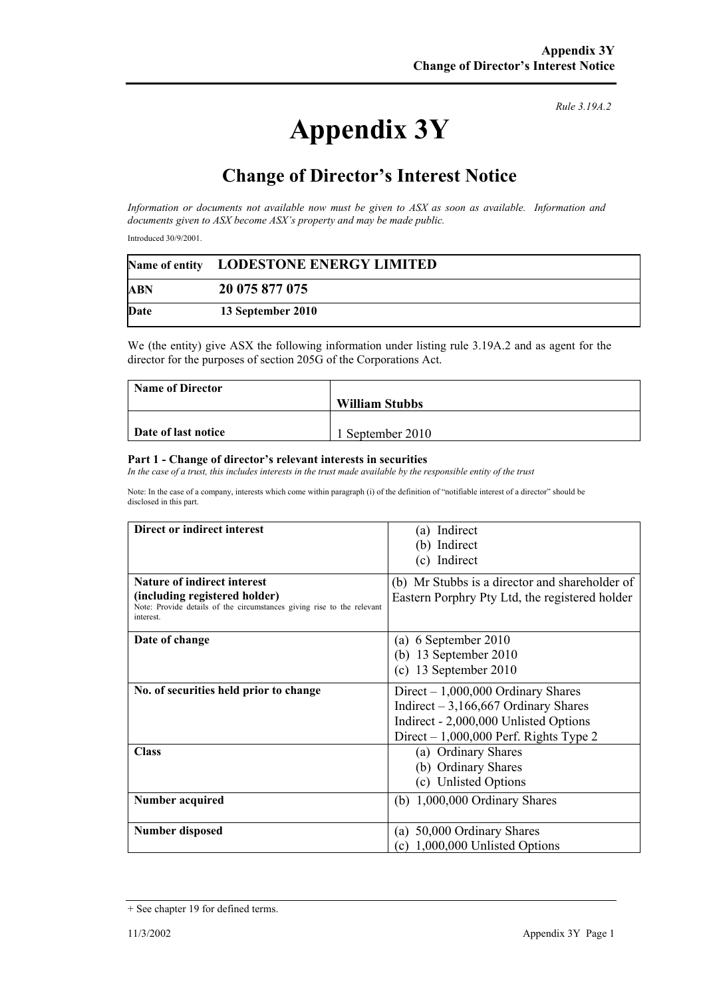## **Appendix 3Y**

*Rule 3.19A.2*

## **Change of Director's Interest Notice**

*Information or documents not available now must be given to ASX as soon as available. Information and documents given to ASX become ASX's property and may be made public.* 

Introduced 30/9/2001.

|            | Name of entity LODESTONE ENERGY LIMITED |  |
|------------|-----------------------------------------|--|
| <b>ABN</b> | 20 075 877 075                          |  |
| Date       | 13 September 2010                       |  |

We (the entity) give ASX the following information under listing rule 3.19A.2 and as agent for the director for the purposes of section 205G of the Corporations Act.

| <b>Name of Director</b> |                       |
|-------------------------|-----------------------|
|                         | <b>William Stubbs</b> |
|                         |                       |
| Date of last notice     | September 2010        |

## **Part 1 - Change of director's relevant interests in securities**

In the case of a trust, this includes interests in the trust made available by the responsible entity of the trust

Note: In the case of a company, interests which come within paragraph (i) of the definition of "notifiable interest of a director" should be disclosed in this part.

| Direct or indirect interest                                                                                                                                | (a) Indirect<br>(b) Indirect<br>(c) Indirect                                                                                                                     |
|------------------------------------------------------------------------------------------------------------------------------------------------------------|------------------------------------------------------------------------------------------------------------------------------------------------------------------|
| <b>Nature of indirect interest</b><br>(including registered holder)<br>Note: Provide details of the circumstances giving rise to the relevant<br>interest. | (b) Mr Stubbs is a director and shareholder of<br>Eastern Porphry Pty Ltd, the registered holder                                                                 |
| Date of change                                                                                                                                             | 6 September 2010<br>(a)<br>(b) 13 September 2010<br>$(c)$ 13 September 2010                                                                                      |
| No. of securities held prior to change                                                                                                                     | Direct $-1,000,000$ Ordinary Shares<br>Indirect $-3,166,667$ Ordinary Shares<br>Indirect - 2,000,000 Unlisted Options<br>Direct $-1,000,000$ Perf. Rights Type 2 |
| <b>Class</b>                                                                                                                                               | (a) Ordinary Shares<br>(b) Ordinary Shares<br>(c) Unlisted Options                                                                                               |
| <b>Number acquired</b>                                                                                                                                     | (b) $1,000,000$ Ordinary Shares                                                                                                                                  |
| <b>Number disposed</b>                                                                                                                                     | (a) 50,000 Ordinary Shares<br>1,000,000 Unlisted Options<br>(c)                                                                                                  |

<sup>+</sup> See chapter 19 for defined terms.